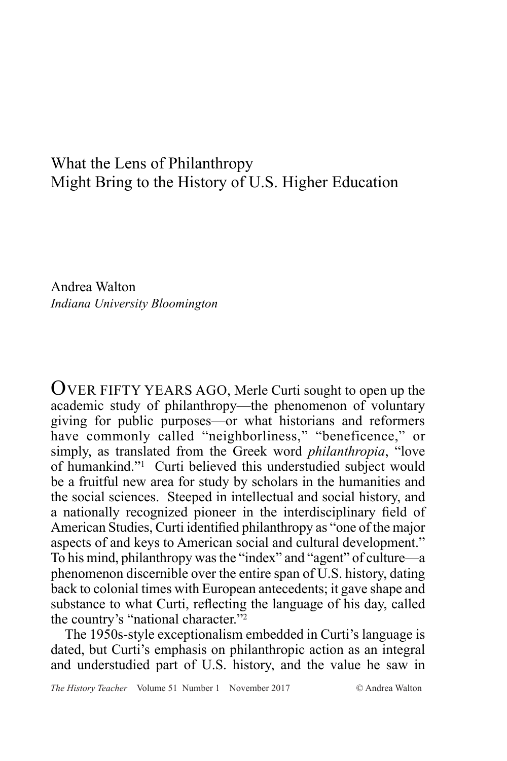# What the Lens of Philanthropy Might Bring to the History of U.S. Higher Education

Andrea Walton *Indiana University Bloomington*

OVER FIFTY YEARS AGO, Merle Curti sought to open up the academic study of philanthropy—the phenomenon of voluntary giving for public purposes—or what historians and reformers have commonly called "neighborliness," "beneficence," or simply, as translated from the Greek word *philanthropia*, "love of humankind."1 Curti believed this understudied subject would be a fruitful new area for study by scholars in the humanities and the social sciences. Steeped in intellectual and social history, and a nationally recognized pioneer in the interdisciplinary field of American Studies, Curti identified philanthropy as "one of the major aspects of and keys to American social and cultural development." To his mind, philanthropy was the "index" and "agent" of culture—a phenomenon discernible over the entire span of U.S. history, dating back to colonial times with European antecedents; it gave shape and substance to what Curti, reflecting the language of his day, called the country's "national character."<sup>2</sup>

The 1950s-style exceptionalism embedded in Curti's language is dated, but Curti's emphasis on philanthropic action as an integral and understudied part of U.S. history, and the value he saw in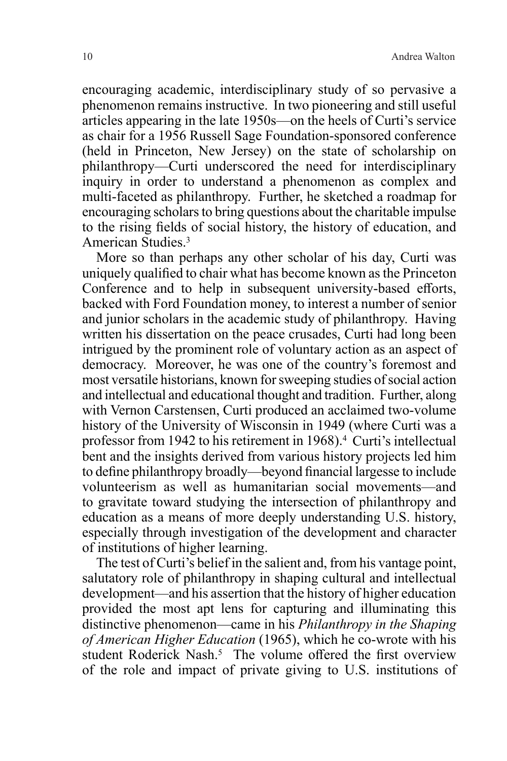encouraging academic, interdisciplinary study of so pervasive a phenomenon remains instructive. In two pioneering and still useful articles appearing in the late 1950s—on the heels of Curti's service as chair for a 1956 Russell Sage Foundation-sponsored conference (held in Princeton, New Jersey) on the state of scholarship on philanthropy—Curti underscored the need for interdisciplinary inquiry in order to understand a phenomenon as complex and multi-faceted as philanthropy. Further, he sketched a roadmap for encouraging scholars to bring questions about the charitable impulse to the rising fields of social history, the history of education, and American Studies.3

More so than perhaps any other scholar of his day, Curti was uniquely qualified to chair what has become known as the Princeton Conference and to help in subsequent university-based efforts, backed with Ford Foundation money, to interest a number of senior and junior scholars in the academic study of philanthropy. Having written his dissertation on the peace crusades, Curti had long been intrigued by the prominent role of voluntary action as an aspect of democracy. Moreover, he was one of the country's foremost and most versatile historians, known for sweeping studies of social action and intellectual and educational thought and tradition. Further, along with Vernon Carstensen, Curti produced an acclaimed two-volume history of the University of Wisconsin in 1949 (where Curti was a professor from 1942 to his retirement in 1968).4 Curti's intellectual bent and the insights derived from various history projects led him to define philanthropy broadly—beyond financial largesse to include volunteerism as well as humanitarian social movements—and to gravitate toward studying the intersection of philanthropy and education as a means of more deeply understanding U.S. history, especially through investigation of the development and character of institutions of higher learning.

The test of Curti's belief in the salient and, from his vantage point, salutatory role of philanthropy in shaping cultural and intellectual development—and his assertion that the history of higher education provided the most apt lens for capturing and illuminating this distinctive phenomenon—came in his *Philanthropy in the Shaping of American Higher Education* (1965), which he co-wrote with his student Roderick Nash.<sup>5</sup> The volume offered the first overview of the role and impact of private giving to U.S. institutions of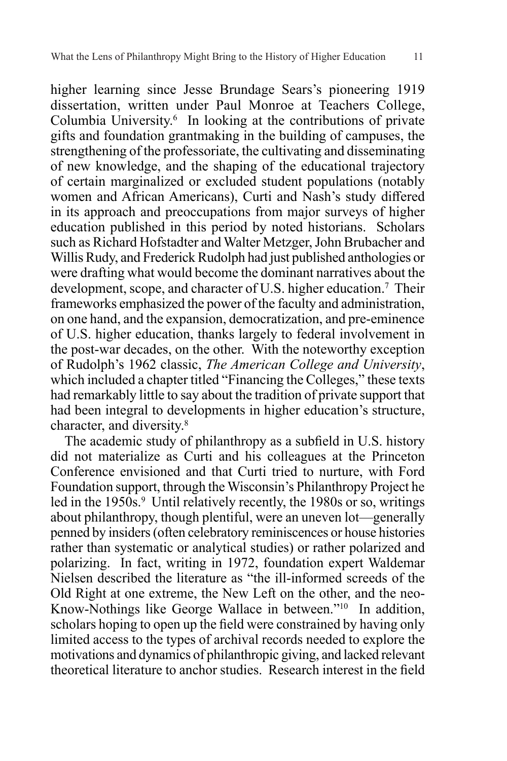higher learning since Jesse Brundage Sears's pioneering 1919 dissertation, written under Paul Monroe at Teachers College, Columbia University.6 In looking at the contributions of private gifts and foundation grantmaking in the building of campuses, the strengthening of the professoriate, the cultivating and disseminating of new knowledge, and the shaping of the educational trajectory of certain marginalized or excluded student populations (notably women and African Americans), Curti and Nash's study differed in its approach and preoccupations from major surveys of higher education published in this period by noted historians. Scholars such as Richard Hofstadter and Walter Metzger, John Brubacher and Willis Rudy, and Frederick Rudolph had just published anthologies or were drafting what would become the dominant narratives about the development, scope, and character of U.S. higher education.<sup>7</sup> Their frameworks emphasized the power of the faculty and administration, on one hand, and the expansion, democratization, and pre-eminence of U.S. higher education, thanks largely to federal involvement in the post-war decades, on the other. With the noteworthy exception of Rudolph's 1962 classic, *The American College and University*, which included a chapter titled "Financing the Colleges," these texts had remarkably little to say about the tradition of private support that had been integral to developments in higher education's structure, character, and diversity.8

The academic study of philanthropy as a subfield in U.S. history did not materialize as Curti and his colleagues at the Princeton Conference envisioned and that Curti tried to nurture, with Ford Foundation support, through the Wisconsin's Philanthropy Project he led in the 1950s.<sup>9</sup> Until relatively recently, the 1980s or so, writings about philanthropy, though plentiful, were an uneven lot—generally penned by insiders (often celebratory reminiscences or house histories rather than systematic or analytical studies) or rather polarized and polarizing. In fact, writing in 1972, foundation expert Waldemar Nielsen described the literature as "the ill-informed screeds of the Old Right at one extreme, the New Left on the other, and the neo-Know-Nothings like George Wallace in between."10In addition, scholars hoping to open up the field were constrained by having only limited access to the types of archival records needed to explore the motivations and dynamics of philanthropic giving, and lacked relevant theoretical literature to anchor studies. Research interest in the field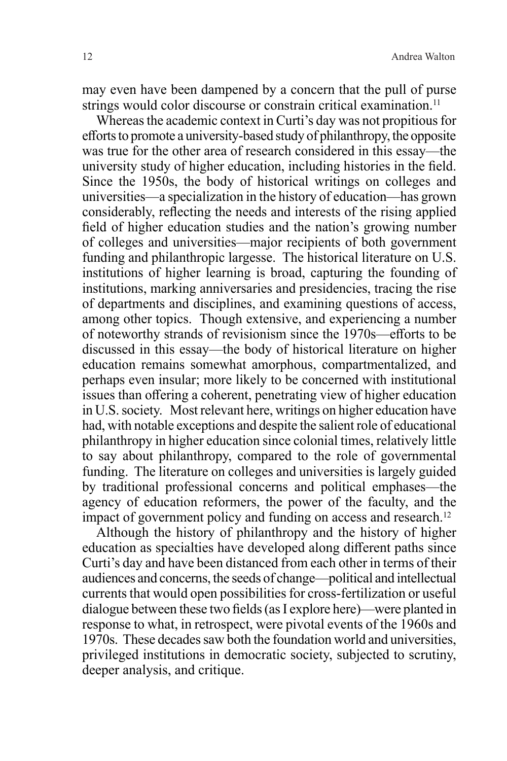may even have been dampened by a concern that the pull of purse strings would color discourse or constrain critical examination.<sup>11</sup>

Whereas the academic context in Curti's day was not propitious for efforts to promote a university-based study of philanthropy, the opposite was true for the other area of research considered in this essay—the university study of higher education, including histories in the field. Since the 1950s, the body of historical writings on colleges and universities—a specialization in the history of education—has grown considerably, reflecting the needs and interests of the rising applied field of higher education studies and the nation's growing number of colleges and universities—major recipients of both government funding and philanthropic largesse. The historical literature on U.S. institutions of higher learning is broad, capturing the founding of institutions, marking anniversaries and presidencies, tracing the rise of departments and disciplines, and examining questions of access, among other topics. Though extensive, and experiencing a number of noteworthy strands of revisionism since the 1970s—efforts to be discussed in this essay—the body of historical literature on higher education remains somewhat amorphous, compartmentalized, and perhaps even insular; more likely to be concerned with institutional issues than offering a coherent, penetrating view of higher education in U.S. society. Most relevant here, writings on higher education have had, with notable exceptions and despite the salient role of educational philanthropy in higher education since colonial times, relatively little to say about philanthropy, compared to the role of governmental funding. The literature on colleges and universities is largely guided by traditional professional concerns and political emphases—the agency of education reformers, the power of the faculty, and the impact of government policy and funding on access and research.<sup>12</sup>

Although the history of philanthropy and the history of higher education as specialties have developed along different paths since Curti's day and have been distanced from each other in terms of their audiences and concerns, the seeds of change—political and intellectual currents that would open possibilities for cross-fertilization or useful dialogue between these two fields (as I explore here)—were planted in response to what, in retrospect, were pivotal events of the 1960s and 1970s. These decades saw both the foundation world and universities, privileged institutions in democratic society, subjected to scrutiny, deeper analysis, and critique.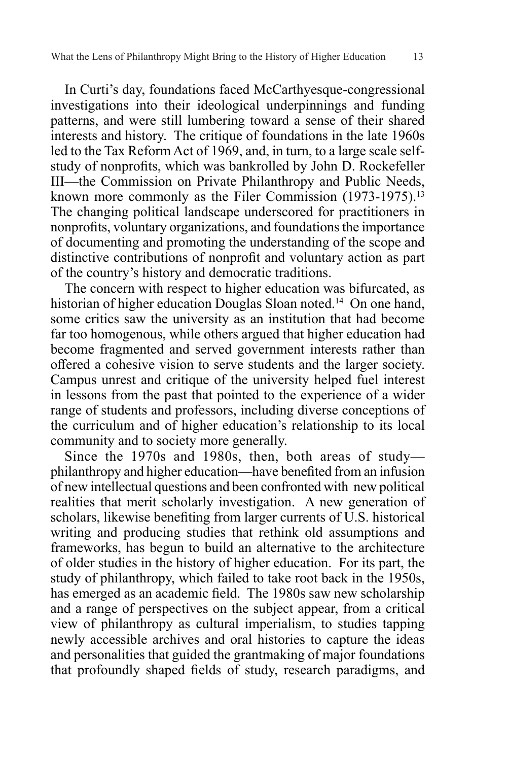In Curti's day, foundations faced McCarthyesque-congressional investigations into their ideological underpinnings and funding patterns, and were still lumbering toward a sense of their shared interests and history. The critique of foundations in the late 1960s led to the Tax Reform Act of 1969, and, in turn, to a large scale selfstudy of nonprofits, which was bankrolled by John D. Rockefeller III—the Commission on Private Philanthropy and Public Needs, known more commonly as the Filer Commission (1973-1975).<sup>13</sup> The changing political landscape underscored for practitioners in nonprofits, voluntary organizations, and foundations the importance of documenting and promoting the understanding of the scope and distinctive contributions of nonprofit and voluntary action as part of the country's history and democratic traditions.

The concern with respect to higher education was bifurcated, as historian of higher education Douglas Sloan noted.14 On one hand, some critics saw the university as an institution that had become far too homogenous, while others argued that higher education had become fragmented and served government interests rather than offered a cohesive vision to serve students and the larger society. Campus unrest and critique of the university helped fuel interest in lessons from the past that pointed to the experience of a wider range of students and professors, including diverse conceptions of the curriculum and of higher education's relationship to its local community and to society more generally.

Since the 1970s and 1980s, then, both areas of study philanthropy and higher education—have benefited from an infusion of new intellectual questions and been confronted with new political realities that merit scholarly investigation. A new generation of scholars, likewise benefiting from larger currents of U.S. historical writing and producing studies that rethink old assumptions and frameworks, has begun to build an alternative to the architecture of older studies in the history of higher education. For its part, the study of philanthropy, which failed to take root back in the 1950s, has emerged as an academic field. The 1980s saw new scholarship and a range of perspectives on the subject appear, from a critical view of philanthropy as cultural imperialism, to studies tapping newly accessible archives and oral histories to capture the ideas and personalities that guided the grantmaking of major foundations that profoundly shaped fields of study, research paradigms, and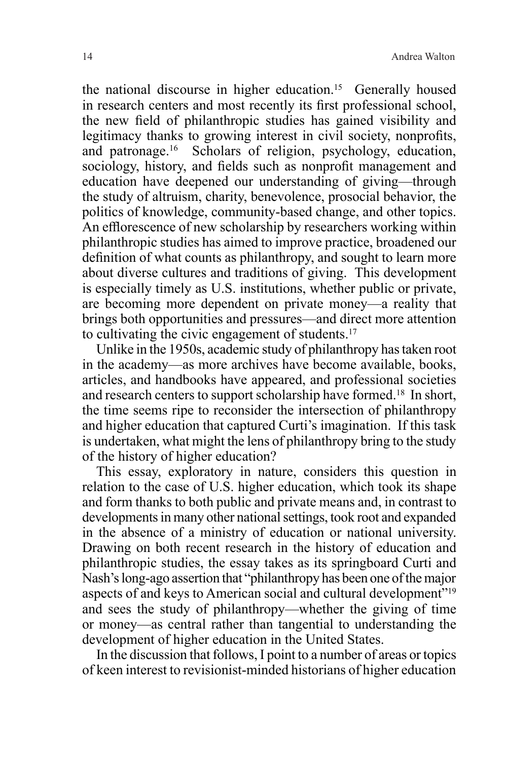the national discourse in higher education.15 Generally housed in research centers and most recently its first professional school, the new field of philanthropic studies has gained visibility and legitimacy thanks to growing interest in civil society, nonprofits, and patronage.16 Scholars of religion, psychology, education, sociology, history, and fields such as nonprofit management and education have deepened our understanding of giving—through the study of altruism, charity, benevolence, prosocial behavior, the politics of knowledge, community-based change, and other topics. An efflorescence of new scholarship by researchers working within philanthropic studies has aimed to improve practice, broadened our definition of what counts as philanthropy, and sought to learn more about diverse cultures and traditions of giving. This development is especially timely as U.S. institutions, whether public or private, are becoming more dependent on private money—a reality that brings both opportunities and pressures—and direct more attention to cultivating the civic engagement of students.17

Unlike in the 1950s, academic study of philanthropy has taken root in the academy—as more archives have become available, books, articles, and handbooks have appeared, and professional societies and research centers to support scholarship have formed.18 In short, the time seems ripe to reconsider the intersection of philanthropy and higher education that captured Curti's imagination. If this task is undertaken, what might the lens of philanthropy bring to the study of the history of higher education?

This essay, exploratory in nature, considers this question in relation to the case of U.S. higher education, which took its shape and form thanks to both public and private means and, in contrast to developments in many other national settings, took root and expanded in the absence of a ministry of education or national university. Drawing on both recent research in the history of education and philanthropic studies, the essay takes as its springboard Curti and Nash's long-ago assertion that "philanthropy has been one of the major aspects of and keys to American social and cultural development"19 and sees the study of philanthropy—whether the giving of time or money—as central rather than tangential to understanding the development of higher education in the United States.

In the discussion that follows, I point to a number of areas or topics of keen interest to revisionist-minded historians of higher education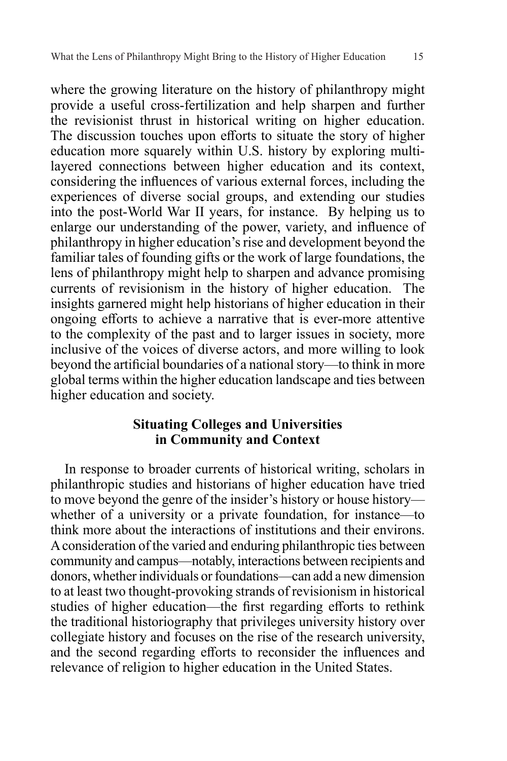where the growing literature on the history of philanthropy might provide a useful cross-fertilization and help sharpen and further the revisionist thrust in historical writing on higher education. The discussion touches upon efforts to situate the story of higher education more squarely within U.S. history by exploring multilayered connections between higher education and its context, considering the influences of various external forces, including the experiences of diverse social groups, and extending our studies into the post-World War II years, for instance. By helping us to enlarge our understanding of the power, variety, and influence of philanthropy in higher education's rise and development beyond the familiar tales of founding gifts or the work of large foundations, the lens of philanthropy might help to sharpen and advance promising currents of revisionism in the history of higher education. The insights garnered might help historians of higher education in their ongoing efforts to achieve a narrative that is ever-more attentive to the complexity of the past and to larger issues in society, more inclusive of the voices of diverse actors, and more willing to look beyond the artificial boundaries of a national story—to think in more global terms within the higher education landscape and ties between higher education and society.

# **Situating Colleges and Universities in Community and Context**

In response to broader currents of historical writing, scholars in philanthropic studies and historians of higher education have tried to move beyond the genre of the insider's history or house history whether of a university or a private foundation, for instance—to think more about the interactions of institutions and their environs. A consideration of the varied and enduring philanthropic ties between community and campus—notably, interactions between recipients and donors, whether individuals or foundations—can add a new dimension to at least two thought-provoking strands of revisionism in historical studies of higher education—the first regarding efforts to rethink the traditional historiography that privileges university history over collegiate history and focuses on the rise of the research university, and the second regarding efforts to reconsider the influences and relevance of religion to higher education in the United States.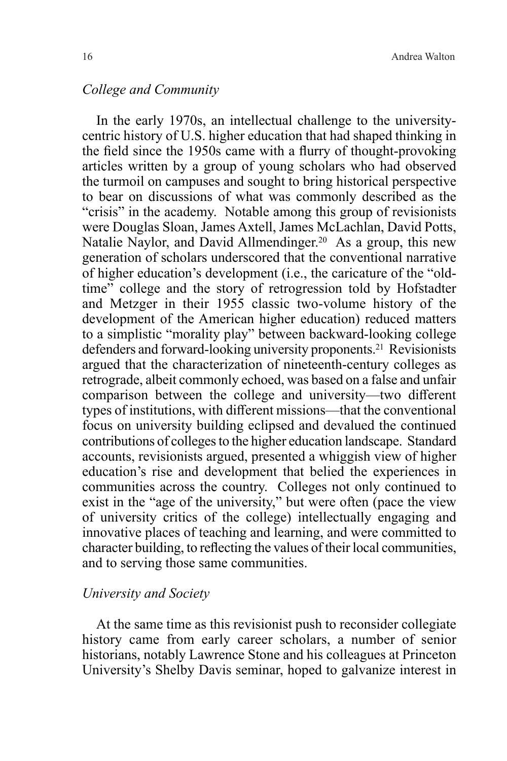#### *College and Community*

In the early 1970s, an intellectual challenge to the universitycentric history of U.S. higher education that had shaped thinking in the field since the 1950s came with a flurry of thought-provoking articles written by a group of young scholars who had observed the turmoil on campuses and sought to bring historical perspective to bear on discussions of what was commonly described as the "crisis" in the academy. Notable among this group of revisionists were Douglas Sloan, James Axtell, James McLachlan, David Potts, Natalie Naylor, and David Allmendinger.<sup>20</sup> As a group, this new generation of scholars underscored that the conventional narrative of higher education's development (i.e., the caricature of the "oldtime" college and the story of retrogression told by Hofstadter and Metzger in their 1955 classic two-volume history of the development of the American higher education) reduced matters to a simplistic "morality play" between backward-looking college defenders and forward-looking university proponents.<sup>21</sup> Revisionists argued that the characterization of nineteenth-century colleges as retrograde, albeit commonly echoed, was based on a false and unfair comparison between the college and university—two different types of institutions, with different missions—that the conventional focus on university building eclipsed and devalued the continued contributions of colleges to the higher education landscape. Standard accounts, revisionists argued, presented a whiggish view of higher education's rise and development that belied the experiences in communities across the country. Colleges not only continued to exist in the "age of the university," but were often (pace the view of university critics of the college) intellectually engaging and innovative places of teaching and learning, and were committed to character building, to reflecting the values of their local communities, and to serving those same communities.

#### *University and Society*

At the same time as this revisionist push to reconsider collegiate history came from early career scholars, a number of senior historians, notably Lawrence Stone and his colleagues at Princeton University's Shelby Davis seminar, hoped to galvanize interest in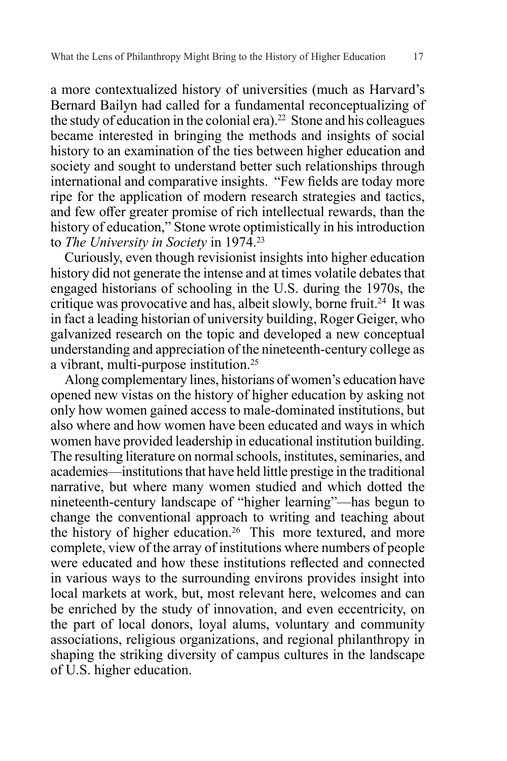a more contextualized history of universities (much as Harvard's Bernard Bailyn had called for a fundamental reconceptualizing of the study of education in the colonial era).22 Stone and his colleagues became interested in bringing the methods and insights of social history to an examination of the ties between higher education and society and sought to understand better such relationships through international and comparative insights. "Few fields are today more ripe for the application of modern research strategies and tactics, and few offer greater promise of rich intellectual rewards, than the history of education," Stone wrote optimistically in his introduction to *The University in Society* in 1974.23

Curiously, even though revisionist insights into higher education history did not generate the intense and at times volatile debates that engaged historians of schooling in the U.S. during the 1970s, the critique was provocative and has, albeit slowly, borne fruit.<sup>24</sup> It was in fact a leading historian of university building, Roger Geiger, who galvanized research on the topic and developed a new conceptual understanding and appreciation of the nineteenth-century college as a vibrant, multi-purpose institution.25

Along complementary lines, historians of women's education have opened new vistas on the history of higher education by asking not only how women gained access to male-dominated institutions, but also where and how women have been educated and ways in which women have provided leadership in educational institution building. The resulting literature on normal schools, institutes, seminaries, and academies—institutions that have held little prestige in the traditional narrative, but where many women studied and which dotted the nineteenth-century landscape of "higher learning"—has begun to change the conventional approach to writing and teaching about the history of higher education.<sup>26</sup> This more textured, and more complete, view of the array of institutions where numbers of people were educated and how these institutions reflected and connected in various ways to the surrounding environs provides insight into local markets at work, but, most relevant here, welcomes and can be enriched by the study of innovation, and even eccentricity, on the part of local donors, loyal alums, voluntary and community associations, religious organizations, and regional philanthropy in shaping the striking diversity of campus cultures in the landscape of U.S. higher education.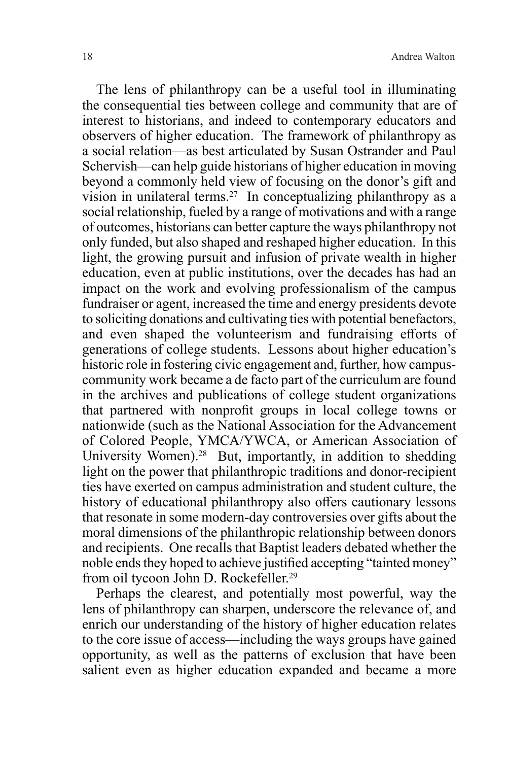The lens of philanthropy can be a useful tool in illuminating the consequential ties between college and community that are of interest to historians, and indeed to contemporary educators and observers of higher education. The framework of philanthropy as a social relation—as best articulated by Susan Ostrander and Paul Schervish—can help guide historians of higher education in moving beyond a commonly held view of focusing on the donor's gift and vision in unilateral terms.<sup>27</sup> In conceptualizing philanthropy as a social relationship, fueled by a range of motivations and with a range of outcomes, historians can better capture the ways philanthropy not only funded, but also shaped and reshaped higher education. In this light, the growing pursuit and infusion of private wealth in higher education, even at public institutions, over the decades has had an impact on the work and evolving professionalism of the campus fundraiser or agent, increased the time and energy presidents devote to soliciting donations and cultivating ties with potential benefactors, and even shaped the volunteerism and fundraising efforts of generations of college students. Lessons about higher education's historic role in fostering civic engagement and, further, how campuscommunity work became a de facto part of the curriculum are found in the archives and publications of college student organizations that partnered with nonprofit groups in local college towns or nationwide (such as the National Association for the Advancement of Colored People, YMCA/YWCA, or American Association of University Women).<sup>28</sup> But, importantly, in addition to shedding light on the power that philanthropic traditions and donor-recipient ties have exerted on campus administration and student culture, the history of educational philanthropy also offers cautionary lessons that resonate in some modern-day controversies over gifts about the moral dimensions of the philanthropic relationship between donors and recipients. One recalls that Baptist leaders debated whether the noble ends they hoped to achieve justified accepting "tainted money" from oil tycoon John D. Rockefeller.<sup>29</sup>

Perhaps the clearest, and potentially most powerful, way the lens of philanthropy can sharpen, underscore the relevance of, and enrich our understanding of the history of higher education relates to the core issue of access—including the ways groups have gained opportunity, as well as the patterns of exclusion that have been salient even as higher education expanded and became a more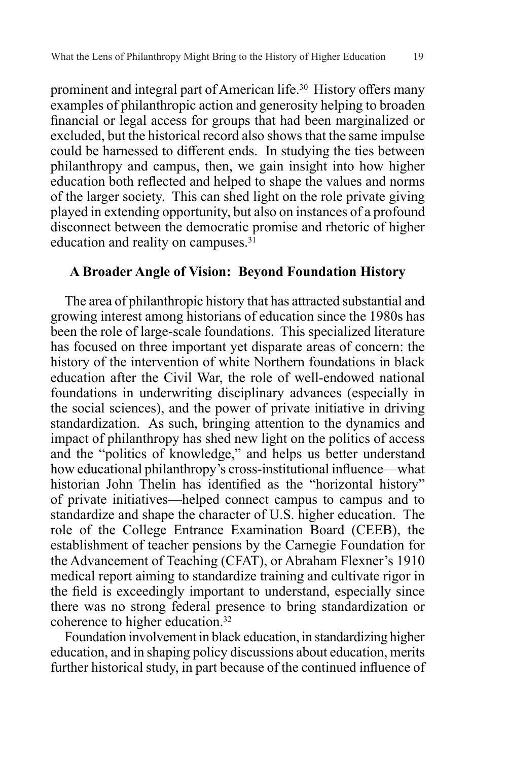prominent and integral part of American life.30 History offers many examples of philanthropic action and generosity helping to broaden financial or legal access for groups that had been marginalized or excluded, but the historical record also shows that the same impulse could be harnessed to different ends. In studying the ties between philanthropy and campus, then, we gain insight into how higher education both reflected and helped to shape the values and norms of the larger society. This can shed light on the role private giving played in extending opportunity, but also on instances of a profound disconnect between the democratic promise and rhetoric of higher education and reality on campuses. $3\overline{1}$ 

## **A Broader Angle of Vision: Beyond Foundation History**

The area of philanthropic history that has attracted substantial and growing interest among historians of education since the 1980s has been the role of large-scale foundations. This specialized literature has focused on three important yet disparate areas of concern: the history of the intervention of white Northern foundations in black education after the Civil War, the role of well-endowed national foundations in underwriting disciplinary advances (especially in the social sciences), and the power of private initiative in driving standardization. As such, bringing attention to the dynamics and impact of philanthropy has shed new light on the politics of access and the "politics of knowledge," and helps us better understand how educational philanthropy's cross-institutional influence—what historian John Thelin has identified as the "horizontal history" of private initiatives—helped connect campus to campus and to standardize and shape the character of U.S. higher education. The role of the College Entrance Examination Board (CEEB), the establishment of teacher pensions by the Carnegie Foundation for the Advancement of Teaching (CFAT), or Abraham Flexner's 1910 medical report aiming to standardize training and cultivate rigor in the field is exceedingly important to understand, especially since there was no strong federal presence to bring standardization or coherence to higher education.32

Foundation involvement in black education, in standardizing higher education, and in shaping policy discussions about education, merits further historical study, in part because of the continued influence of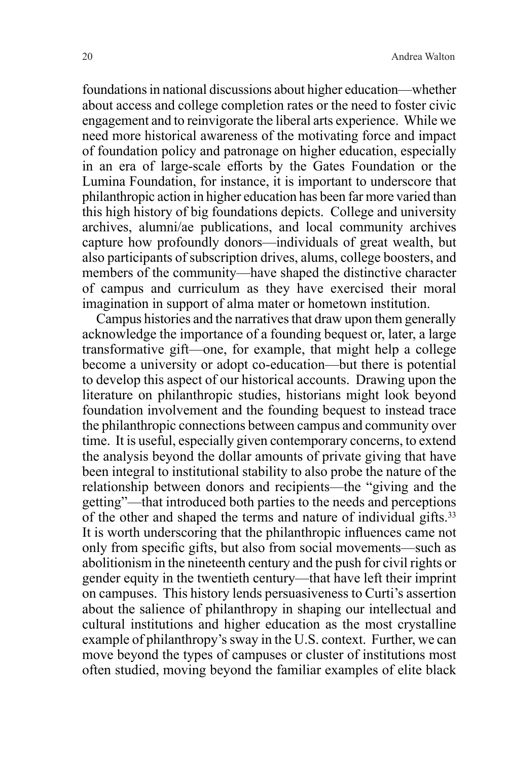foundations in national discussions about higher education—whether about access and college completion rates or the need to foster civic engagement and to reinvigorate the liberal arts experience. While we need more historical awareness of the motivating force and impact of foundation policy and patronage on higher education, especially in an era of large-scale efforts by the Gates Foundation or the Lumina Foundation, for instance, it is important to underscore that philanthropic action in higher education has been far more varied than this high history of big foundations depicts. College and university archives, alumni/ae publications, and local community archives capture how profoundly donors—individuals of great wealth, but also participants of subscription drives, alums, college boosters, and members of the community—have shaped the distinctive character of campus and curriculum as they have exercised their moral imagination in support of alma mater or hometown institution.

Campus histories and the narratives that draw upon them generally acknowledge the importance of a founding bequest or, later, a large transformative gift—one, for example, that might help a college become a university or adopt co-education—but there is potential to develop this aspect of our historical accounts. Drawing upon the literature on philanthropic studies, historians might look beyond foundation involvement and the founding bequest to instead trace the philanthropic connections between campus and community over time. It is useful, especially given contemporary concerns, to extend the analysis beyond the dollar amounts of private giving that have been integral to institutional stability to also probe the nature of the relationship between donors and recipients—the "giving and the getting"—that introduced both parties to the needs and perceptions of the other and shaped the terms and nature of individual gifts.<sup>33</sup> It is worth underscoring that the philanthropic influences came not only from specific gifts, but also from social movements—such as abolitionism in the nineteenth century and the push for civil rights or gender equity in the twentieth century—that have left their imprint on campuses. This history lends persuasiveness to Curti's assertion about the salience of philanthropy in shaping our intellectual and cultural institutions and higher education as the most crystalline example of philanthropy's sway in the U.S. context. Further, we can move beyond the types of campuses or cluster of institutions most often studied, moving beyond the familiar examples of elite black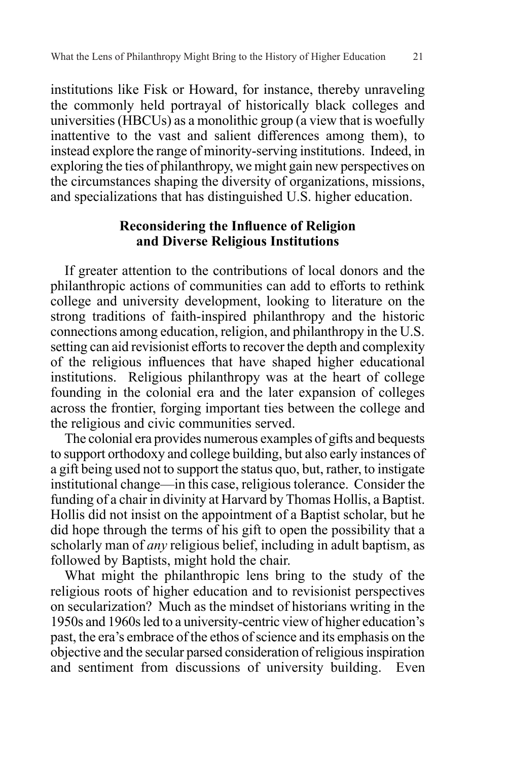institutions like Fisk or Howard, for instance, thereby unraveling the commonly held portrayal of historically black colleges and universities (HBCUs) as a monolithic group (a view that is woefully inattentive to the vast and salient differences among them), to instead explore the range of minority-serving institutions. Indeed, in exploring the ties of philanthropy, we might gain new perspectives on the circumstances shaping the diversity of organizations, missions, and specializations that has distinguished U.S. higher education.

# **Reconsidering the Influence of Religion and Diverse Religious Institutions**

If greater attention to the contributions of local donors and the philanthropic actions of communities can add to efforts to rethink college and university development, looking to literature on the strong traditions of faith-inspired philanthropy and the historic connections among education, religion, and philanthropy in the U.S. setting can aid revisionist efforts to recover the depth and complexity of the religious influences that have shaped higher educational institutions. Religious philanthropy was at the heart of college founding in the colonial era and the later expansion of colleges across the frontier, forging important ties between the college and the religious and civic communities served.

The colonial era provides numerous examples of gifts and bequests to support orthodoxy and college building, but also early instances of a gift being used not to support the status quo, but, rather, to instigate institutional change—in this case, religious tolerance. Consider the funding of a chair in divinity at Harvard by Thomas Hollis, a Baptist. Hollis did not insist on the appointment of a Baptist scholar, but he did hope through the terms of his gift to open the possibility that a scholarly man of *any* religious belief, including in adult baptism, as followed by Baptists, might hold the chair.

What might the philanthropic lens bring to the study of the religious roots of higher education and to revisionist perspectives on secularization? Much as the mindset of historians writing in the 1950s and 1960s led to a university-centric view of higher education's past, the era's embrace of the ethos of science and its emphasis on the objective and the secular parsed consideration of religious inspiration and sentiment from discussions of university building. Even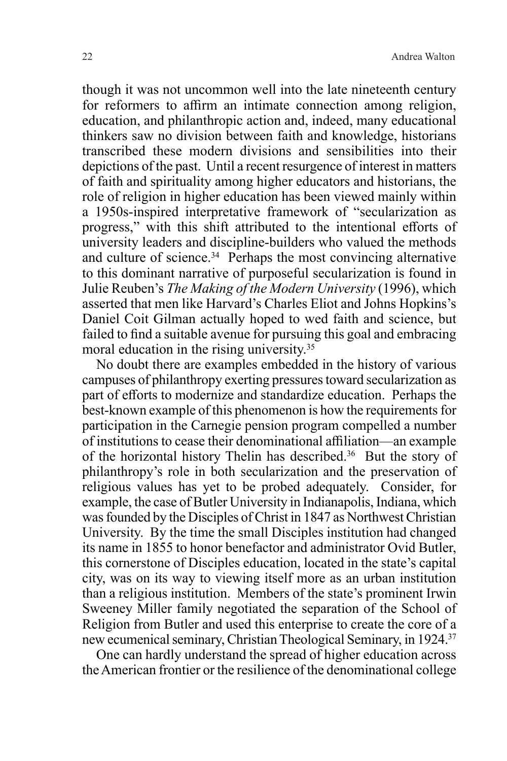though it was not uncommon well into the late nineteenth century for reformers to affirm an intimate connection among religion, education, and philanthropic action and, indeed, many educational thinkers saw no division between faith and knowledge, historians transcribed these modern divisions and sensibilities into their depictions of the past. Until a recent resurgence of interest in matters of faith and spirituality among higher educators and historians, the role of religion in higher education has been viewed mainly within a 1950s-inspired interpretative framework of "secularization as progress," with this shift attributed to the intentional efforts of university leaders and discipline-builders who valued the methods and culture of science.<sup>34</sup> Perhaps the most convincing alternative to this dominant narrative of purposeful secularization is found in Julie Reuben's *The Making of the Modern University* (1996), which asserted that men like Harvard's Charles Eliot and Johns Hopkins's Daniel Coit Gilman actually hoped to wed faith and science, but failed to find a suitable avenue for pursuing this goal and embracing moral education in the rising university.35

No doubt there are examples embedded in the history of various campuses of philanthropy exerting pressures toward secularization as part of efforts to modernize and standardize education. Perhaps the best-known example of this phenomenon is how the requirements for participation in the Carnegie pension program compelled a number of institutions to cease their denominational affiliation—an example of the horizontal history Thelin has described.36 But the story of philanthropy's role in both secularization and the preservation of religious values has yet to be probed adequately. Consider, for example, the case of Butler University in Indianapolis, Indiana, which was founded by the Disciples of Christ in 1847 as Northwest Christian University. By the time the small Disciples institution had changed its name in 1855 to honor benefactor and administrator Ovid Butler, this cornerstone of Disciples education, located in the state's capital city, was on its way to viewing itself more as an urban institution than a religious institution. Members of the state's prominent Irwin Sweeney Miller family negotiated the separation of the School of Religion from Butler and used this enterprise to create the core of a new ecumenical seminary, Christian Theological Seminary, in 1924.37

One can hardly understand the spread of higher education across the American frontier or the resilience of the denominational college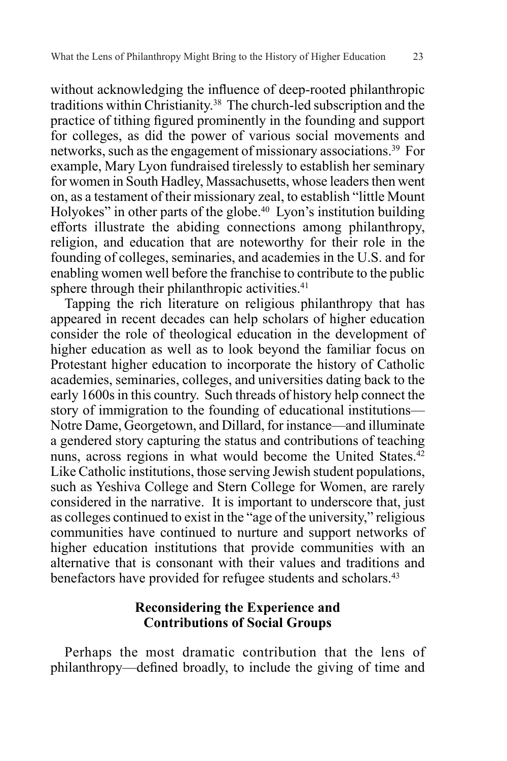without acknowledging the influence of deep-rooted philanthropic traditions within Christianity.38 The church-led subscription and the practice of tithing figured prominently in the founding and support for colleges, as did the power of various social movements and networks, such as the engagement of missionary associations.39 For example, Mary Lyon fundraised tirelessly to establish her seminary for women in South Hadley, Massachusetts, whose leaders then went on, as a testament of their missionary zeal, to establish "little Mount Holyokes" in other parts of the globe.<sup>40</sup> Lyon's institution building efforts illustrate the abiding connections among philanthropy, religion, and education that are noteworthy for their role in the founding of colleges, seminaries, and academies in the U.S. and for enabling women well before the franchise to contribute to the public sphere through their philanthropic activities. $41$ 

Tapping the rich literature on religious philanthropy that has appeared in recent decades can help scholars of higher education consider the role of theological education in the development of higher education as well as to look beyond the familiar focus on Protestant higher education to incorporate the history of Catholic academies, seminaries, colleges, and universities dating back to the early 1600s in this country. Such threads of history help connect the story of immigration to the founding of educational institutions— Notre Dame, Georgetown, and Dillard, for instance—and illuminate a gendered story capturing the status and contributions of teaching nuns, across regions in what would become the United States.42 Like Catholic institutions, those serving Jewish student populations, such as Yeshiva College and Stern College for Women, are rarely considered in the narrative. It is important to underscore that, just as colleges continued to exist in the "age of the university," religious communities have continued to nurture and support networks of higher education institutions that provide communities with an alternative that is consonant with their values and traditions and benefactors have provided for refugee students and scholars.<sup>43</sup>

## **Reconsidering the Experience and Contributions of Social Groups**

Perhaps the most dramatic contribution that the lens of philanthropy—defined broadly, to include the giving of time and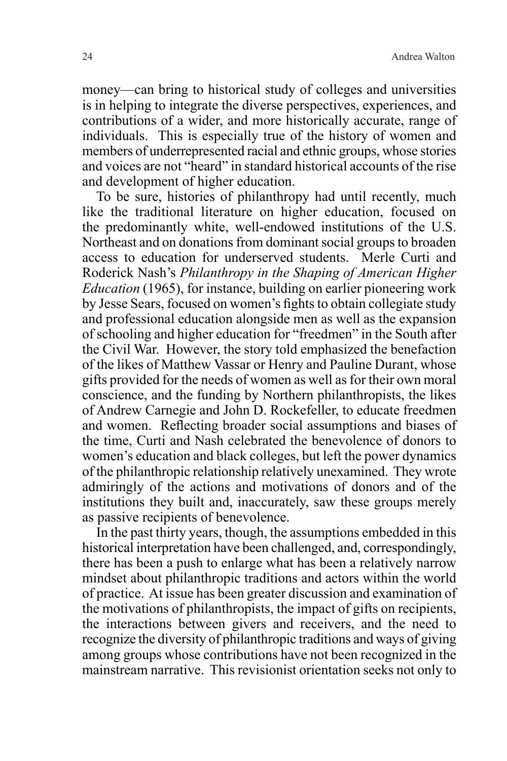money—can bring to historical study of colleges and universities is in helping to integrate the diverse perspectives, experiences, and contributions of a wider, and more historically accurate, range of individuals. This is especially true of the history of women and members of underrepresented racial and ethnic groups, whose stories and voices are not "heard" in standard historical accounts of the rise and development of higher education.

To be sure, histories of philanthropy had until recently, much like the traditional literature on higher education, focused on the predominantly white, well-endowed institutions of the U.S. Northeast and on donations from dominant social groups to broaden access to education for underserved students. Merle Curti and Roderick Nash's *Philanthropy in the Shaping of American Higher Education* (1965), for instance, building on earlier pioneering work by Jesse Sears, focused on women's fights to obtain collegiate study and professional education alongside men as well as the expansion of schooling and higher education for "freedmen" in the South after the Civil War. However, the story told emphasized the benefaction of the likes of Matthew Vassar or Henry and Pauline Durant, whose gifts provided for the needs of women as well as for their own moral conscience, and the funding by Northern philanthropists, the likes of Andrew Carnegie and John D. Rockefeller, to educate freedmen and women. Reflecting broader social assumptions and biases of the time, Curti and Nash celebrated the benevolence of donors to women's education and black colleges, but left the power dynamics of the philanthropic relationship relatively unexamined. They wrote admiringly of the actions and motivations of donors and of the institutions they built and, inaccurately, saw these groups merely as passive recipients of benevolence.

In the past thirty years, though, the assumptions embedded in this historical interpretation have been challenged, and, correspondingly, there has been a push to enlarge what has been a relatively narrow mindset about philanthropic traditions and actors within the world of practice. At issue has been greater discussion and examination of the motivations of philanthropists, the impact of gifts on recipients, the interactions between givers and receivers, and the need to recognize the diversity of philanthropic traditions and ways of giving among groups whose contributions have not been recognized in the mainstream narrative. This revisionist orientation seeks not only to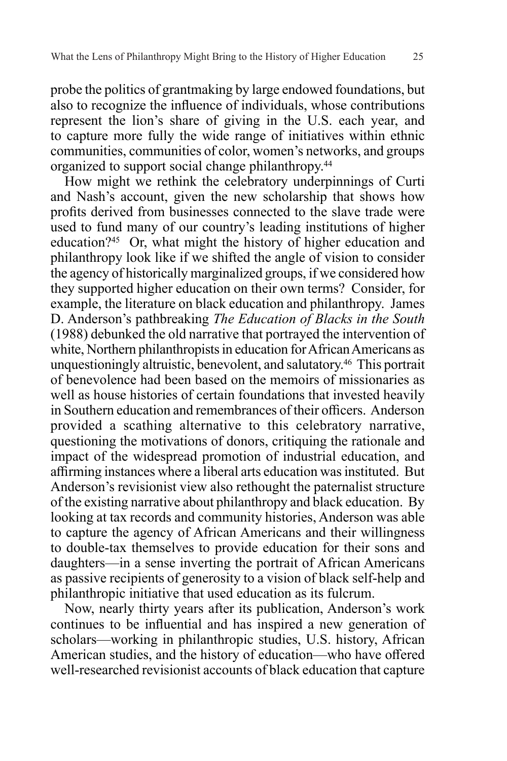probe the politics of grantmaking by large endowed foundations, but also to recognize the influence of individuals, whose contributions represent the lion's share of giving in the U.S. each year, and to capture more fully the wide range of initiatives within ethnic communities, communities of color, women's networks, and groups organized to support social change philanthropy.44

How might we rethink the celebratory underpinnings of Curti and Nash's account, given the new scholarship that shows how profits derived from businesses connected to the slave trade were used to fund many of our country's leading institutions of higher education?45 Or, what might the history of higher education and philanthropy look like if we shifted the angle of vision to consider the agency of historically marginalized groups, if we considered how they supported higher education on their own terms? Consider, for example, the literature on black education and philanthropy. James D. Anderson's pathbreaking *The Education of Blacks in the South*  (1988) debunked the old narrative that portrayed the intervention of white, Northern philanthropists in education for African Americans as unquestioningly altruistic, benevolent, and salutatory.46 This portrait of benevolence had been based on the memoirs of missionaries as well as house histories of certain foundations that invested heavily in Southern education and remembrances of their officers. Anderson provided a scathing alternative to this celebratory narrative, questioning the motivations of donors, critiquing the rationale and impact of the widespread promotion of industrial education, and affirming instances where a liberal arts education was instituted. But Anderson's revisionist view also rethought the paternalist structure of the existing narrative about philanthropy and black education. By looking at tax records and community histories, Anderson was able to capture the agency of African Americans and their willingness to double-tax themselves to provide education for their sons and daughters—in a sense inverting the portrait of African Americans as passive recipients of generosity to a vision of black self-help and philanthropic initiative that used education as its fulcrum.

Now, nearly thirty years after its publication, Anderson's work continues to be influential and has inspired a new generation of scholars—working in philanthropic studies, U.S. history, African American studies, and the history of education—who have offered well-researched revisionist accounts of black education that capture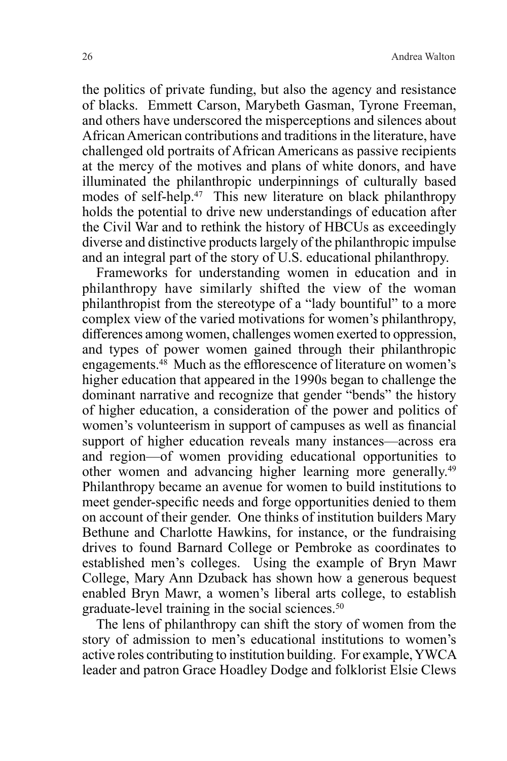the politics of private funding, but also the agency and resistance of blacks. Emmett Carson, Marybeth Gasman, Tyrone Freeman, and others have underscored the misperceptions and silences about African American contributions and traditions in the literature, have challenged old portraits of African Americans as passive recipients at the mercy of the motives and plans of white donors, and have illuminated the philanthropic underpinnings of culturally based modes of self-help.<sup>47</sup> This new literature on black philanthropy holds the potential to drive new understandings of education after the Civil War and to rethink the history of HBCUs as exceedingly diverse and distinctive products largely of the philanthropic impulse and an integral part of the story of U.S. educational philanthropy.

Frameworks for understanding women in education and in philanthropy have similarly shifted the view of the woman philanthropist from the stereotype of a "lady bountiful" to a more complex view of the varied motivations for women's philanthropy, differences among women, challenges women exerted to oppression, and types of power women gained through their philanthropic engagements.48 Much as the efflorescence of literature on women's higher education that appeared in the 1990s began to challenge the dominant narrative and recognize that gender "bends" the history of higher education, a consideration of the power and politics of women's volunteerism in support of campuses as well as financial support of higher education reveals many instances—across era and region—of women providing educational opportunities to other women and advancing higher learning more generally.49 Philanthropy became an avenue for women to build institutions to meet gender-specific needs and forge opportunities denied to them on account of their gender. One thinks of institution builders Mary Bethune and Charlotte Hawkins, for instance, or the fundraising drives to found Barnard College or Pembroke as coordinates to established men's colleges. Using the example of Bryn Mawr College, Mary Ann Dzuback has shown how a generous bequest enabled Bryn Mawr, a women's liberal arts college, to establish graduate-level training in the social sciences.<sup>50</sup>

The lens of philanthropy can shift the story of women from the story of admission to men's educational institutions to women's active roles contributing to institution building. For example, YWCA leader and patron Grace Hoadley Dodge and folklorist Elsie Clews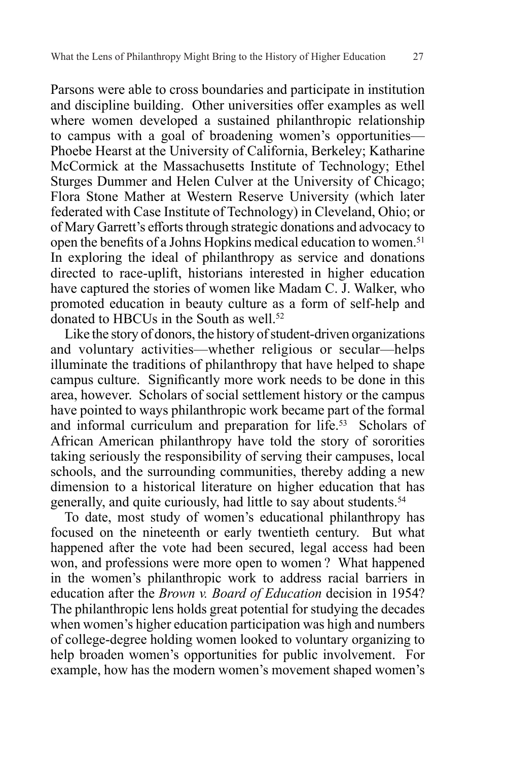Parsons were able to cross boundaries and participate in institution and discipline building. Other universities offer examples as well where women developed a sustained philanthropic relationship to campus with a goal of broadening women's opportunities— Phoebe Hearst at the University of California, Berkeley; Katharine McCormick at the Massachusetts Institute of Technology; Ethel Sturges Dummer and Helen Culver at the University of Chicago; Flora Stone Mather at Western Reserve University (which later federated with Case Institute of Technology) in Cleveland, Ohio; or of Mary Garrett's efforts through strategic donations and advocacy to open the benefits of a Johns Hopkins medical education to women.<sup>51</sup> In exploring the ideal of philanthropy as service and donations directed to race-uplift, historians interested in higher education have captured the stories of women like Madam C. J. Walker, who promoted education in beauty culture as a form of self-help and donated to HBCUs in the South as well.<sup>52</sup>

Like the story of donors, the history of student-driven organizations and voluntary activities—whether religious or secular—helps illuminate the traditions of philanthropy that have helped to shape campus culture. Significantly more work needs to be done in this area, however. Scholars of social settlement history or the campus have pointed to ways philanthropic work became part of the formal and informal curriculum and preparation for life.<sup>53</sup> Scholars of African American philanthropy have told the story of sororities taking seriously the responsibility of serving their campuses, local schools, and the surrounding communities, thereby adding a new dimension to a historical literature on higher education that has generally, and quite curiously, had little to say about students.54

To date, most study of women's educational philanthropy has focused on the nineteenth or early twentieth century. But what happened after the vote had been secured, legal access had been won, and professions were more open to women ? What happened in the women's philanthropic work to address racial barriers in education after the *Brown v. Board of Education* decision in 1954? The philanthropic lens holds great potential for studying the decades when women's higher education participation was high and numbers of college-degree holding women looked to voluntary organizing to help broaden women's opportunities for public involvement. For example, how has the modern women's movement shaped women's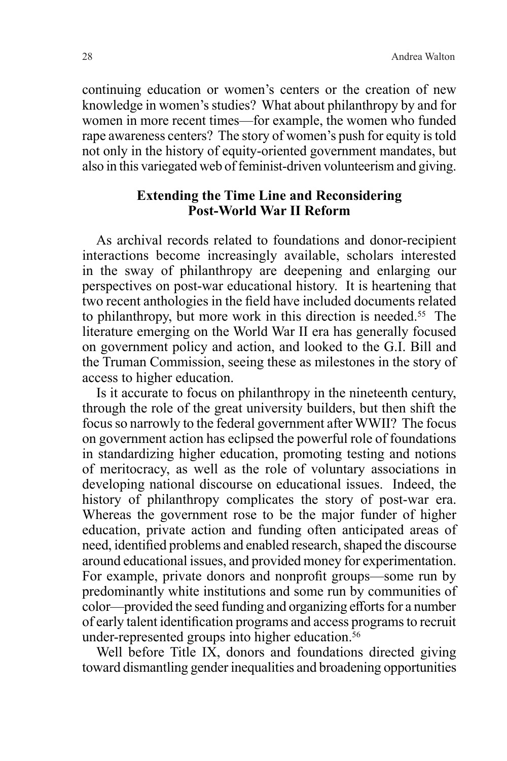continuing education or women's centers or the creation of new knowledge in women's studies? What about philanthropy by and for women in more recent times—for example, the women who funded rape awareness centers? The story of women's push for equity is told not only in the history of equity-oriented government mandates, but also in this variegated web of feminist-driven volunteerism and giving.

## **Extending the Time Line and Reconsidering Post-World War II Reform**

As archival records related to foundations and donor-recipient interactions become increasingly available, scholars interested in the sway of philanthropy are deepening and enlarging our perspectives on post-war educational history. It is heartening that two recent anthologies in the field have included documents related to philanthropy, but more work in this direction is needed.55 The literature emerging on the World War II era has generally focused on government policy and action, and looked to the G.I. Bill and the Truman Commission, seeing these as milestones in the story of access to higher education.

Is it accurate to focus on philanthropy in the nineteenth century, through the role of the great university builders, but then shift the focus so narrowly to the federal government after WWII? The focus on government action has eclipsed the powerful role of foundations in standardizing higher education, promoting testing and notions of meritocracy, as well as the role of voluntary associations in developing national discourse on educational issues. Indeed, the history of philanthropy complicates the story of post-war era. Whereas the government rose to be the major funder of higher education, private action and funding often anticipated areas of need, identified problems and enabled research, shaped the discourse around educational issues, and provided money for experimentation. For example, private donors and nonprofit groups—some run by predominantly white institutions and some run by communities of color—provided the seed funding and organizing efforts for a number of early talent identification programs and access programs to recruit under-represented groups into higher education.<sup>56</sup>

Well before Title IX, donors and foundations directed giving toward dismantling gender inequalities and broadening opportunities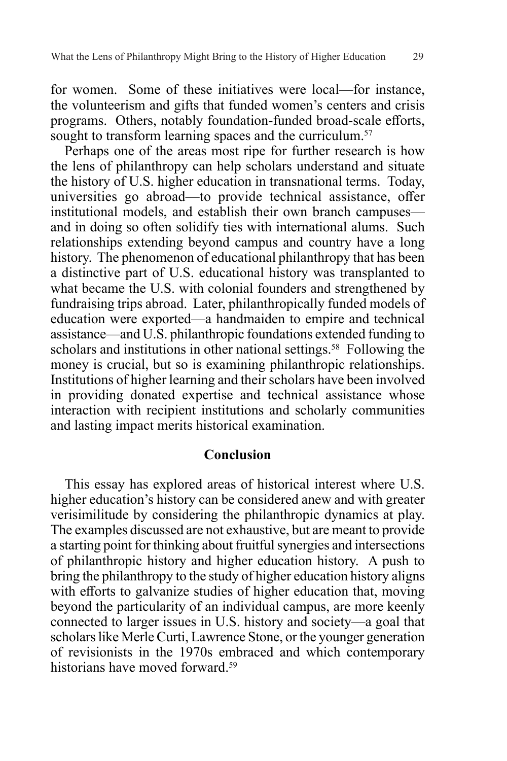for women. Some of these initiatives were local—for instance, the volunteerism and gifts that funded women's centers and crisis programs. Others, notably foundation-funded broad-scale efforts, sought to transform learning spaces and the curriculum.<sup>57</sup>

Perhaps one of the areas most ripe for further research is how the lens of philanthropy can help scholars understand and situate the history of U.S. higher education in transnational terms. Today, universities go abroad—to provide technical assistance, offer institutional models, and establish their own branch campuses and in doing so often solidify ties with international alums. Such relationships extending beyond campus and country have a long history. The phenomenon of educational philanthropy that has been a distinctive part of U.S. educational history was transplanted to what became the U.S. with colonial founders and strengthened by fundraising trips abroad. Later, philanthropically funded models of education were exported—a handmaiden to empire and technical assistance—and U.S. philanthropic foundations extended funding to scholars and institutions in other national settings.<sup>58</sup> Following the money is crucial, but so is examining philanthropic relationships. Institutions of higher learning and their scholars have been involved in providing donated expertise and technical assistance whose interaction with recipient institutions and scholarly communities and lasting impact merits historical examination.

#### **Conclusion**

This essay has explored areas of historical interest where U.S. higher education's history can be considered anew and with greater verisimilitude by considering the philanthropic dynamics at play. The examples discussed are not exhaustive, but are meant to provide a starting point for thinking about fruitful synergies and intersections of philanthropic history and higher education history. A push to bring the philanthropy to the study of higher education history aligns with efforts to galvanize studies of higher education that, moving beyond the particularity of an individual campus, are more keenly connected to larger issues in U.S. history and society—a goal that scholars like Merle Curti, Lawrence Stone, or the younger generation of revisionists in the 1970s embraced and which contemporary historians have moved forward.<sup>59</sup>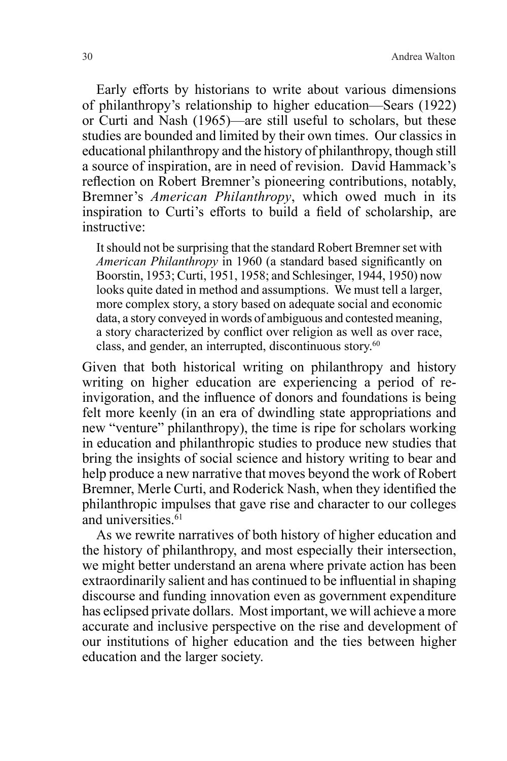30 Andrea Walton

Early efforts by historians to write about various dimensions of philanthropy's relationship to higher education—Sears (1922) or Curti and Nash (1965)—are still useful to scholars, but these studies are bounded and limited by their own times. Our classics in educational philanthropy and the history of philanthropy, though still a source of inspiration, are in need of revision. David Hammack's reflection on Robert Bremner's pioneering contributions, notably, Bremner's *American Philanthropy*, which owed much in its inspiration to Curti's efforts to build a field of scholarship, are instructive:

It should not be surprising that the standard Robert Bremner set with *American Philanthropy* in 1960 (a standard based significantly on Boorstin, 1953; Curti, 1951, 1958; and Schlesinger, 1944, 1950) now looks quite dated in method and assumptions. We must tell a larger, more complex story, a story based on adequate social and economic data, a story conveyed in words of ambiguous and contested meaning, a story characterized by conflict over religion as well as over race, class, and gender, an interrupted, discontinuous story.<sup>60</sup>

Given that both historical writing on philanthropy and history writing on higher education are experiencing a period of reinvigoration, and the influence of donors and foundations is being felt more keenly (in an era of dwindling state appropriations and new "venture" philanthropy), the time is ripe for scholars working in education and philanthropic studies to produce new studies that bring the insights of social science and history writing to bear and help produce a new narrative that moves beyond the work of Robert Bremner, Merle Curti, and Roderick Nash, when they identified the philanthropic impulses that gave rise and character to our colleges and universities.<sup>61</sup>

As we rewrite narratives of both history of higher education and the history of philanthropy, and most especially their intersection, we might better understand an arena where private action has been extraordinarily salient and has continued to be influential in shaping discourse and funding innovation even as government expenditure has eclipsed private dollars. Most important, we will achieve a more accurate and inclusive perspective on the rise and development of our institutions of higher education and the ties between higher education and the larger society.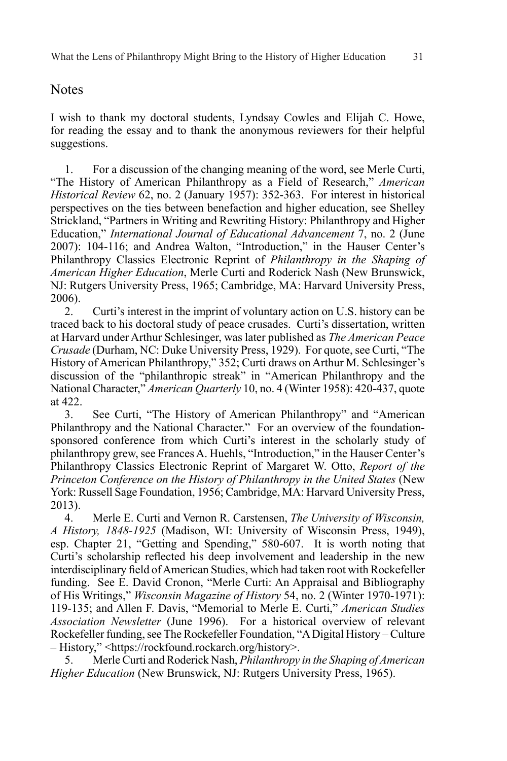#### **Notes**

I wish to thank my doctoral students, Lyndsay Cowles and Elijah C. Howe, for reading the essay and to thank the anonymous reviewers for their helpful suggestions.

1. For a discussion of the changing meaning of the word, see Merle Curti, "The History of American Philanthropy as a Field of Research," *American Historical Review* 62, no. 2 (January 1957): 352-363. For interest in historical perspectives on the ties between benefaction and higher education, see Shelley Strickland, "Partners in Writing and Rewriting History: Philanthropy and Higher Education," *International Journal of Educational Advancement* 7, no. 2 (June 2007): 104-116; and Andrea Walton, "Introduction," in the Hauser Center's Philanthropy Classics Electronic Reprint of *Philanthropy in the Shaping of American Higher Education*, Merle Curti and Roderick Nash (New Brunswick, NJ: Rutgers University Press, 1965; Cambridge, MA: Harvard University Press, 2006).

2. Curti's interest in the imprint of voluntary action on U.S. history can be traced back to his doctoral study of peace crusades. Curti's dissertation, written at Harvard under Arthur Schlesinger, was later published as *The American Peace Crusade* (Durham, NC: Duke University Press, 1929). For quote, see Curti, "The History of American Philanthropy," 352; Curti draws on Arthur M. Schlesinger's discussion of the "philanthropic streak" in "American Philanthropy and the National Character," *American Quarterly* 10, no. 4 (Winter 1958): 420-437, quote at 422.

3. See Curti, "The History of American Philanthropy" and "American Philanthropy and the National Character." For an overview of the foundationsponsored conference from which Curti's interest in the scholarly study of philanthropy grew, see Frances A. Huehls, "Introduction," in the Hauser Center's Philanthropy Classics Electronic Reprint of Margaret W. Otto, *Report of the Princeton Conference on the History of Philanthropy in the United States* (New York: Russell Sage Foundation, 1956; Cambridge, MA: Harvard University Press, 2013).

4. Merle E. Curti and Vernon R. Carstensen, *The University of Wisconsin, A History, 1848-1925* (Madison, WI: University of Wisconsin Press, 1949), esp. Chapter 21, "Getting and Spending," 580-607. It is worth noting that Curti's scholarship reflected his deep involvement and leadership in the new interdisciplinary field of American Studies, which had taken root with Rockefeller funding. See E. David Cronon, "Merle Curti: An Appraisal and Bibliography of His Writings," *Wisconsin Magazine of History* 54, no. 2 (Winter 1970-1971): 119-135; and Allen F. Davis, "Memorial to Merle E. Curti," *American Studies Association Newsletter* (June 1996). For a historical overview of relevant Rockefeller funding, see The Rockefeller Foundation, "A Digital History – Culture – History," <https://rockfound.rockarch.org/history>.

5. Merle Curti and Roderick Nash, *Philanthropy in the Shaping of American Higher Education* (New Brunswick, NJ: Rutgers University Press, 1965).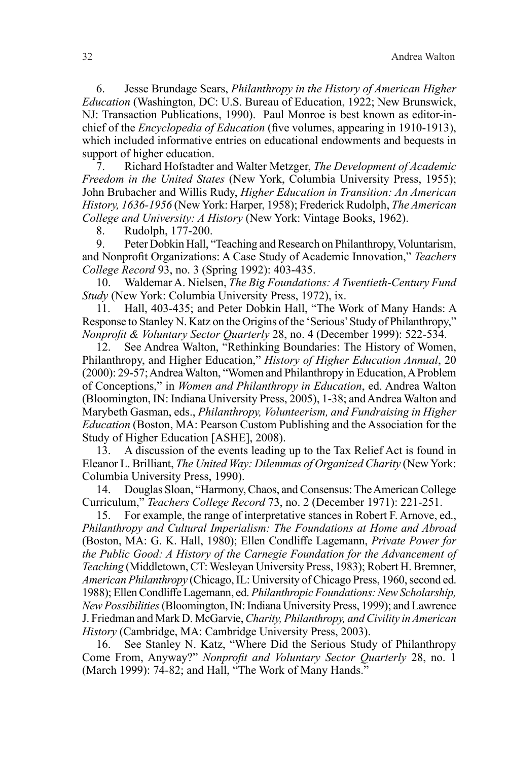6. Jesse Brundage Sears, *Philanthropy in the History of American Higher Education* (Washington, DC: U.S. Bureau of Education, 1922; New Brunswick, NJ: Transaction Publications, 1990). Paul Monroe is best known as editor-inchief of the *Encyclopedia of Education* (five volumes, appearing in 1910-1913), which included informative entries on educational endowments and bequests in support of higher education.

7. Richard Hofstadter and Walter Metzger, *The Development of Academic Freedom in the United States* (New York, Columbia University Press, 1955); John Brubacher and Willis Rudy, *Higher Education in Transition: An American History, 1636-1956* (New York: Harper, 1958); Frederick Rudolph, *The American College and University: A History* (New York: Vintage Books, 1962).

8. Rudolph, 177-200.

9. Peter Dobkin Hall, "Teaching and Research on Philanthropy, Voluntarism, and Nonprofit Organizations: A Case Study of Academic Innovation," *Teachers College Record* 93, no. 3 (Spring 1992): 403-435.

10. Waldemar A. Nielsen, *The Big Foundations: A Twentieth-Century Fund Study* (New York: Columbia University Press, 1972), ix.

11. Hall, 403-435; and Peter Dobkin Hall, "The Work of Many Hands: A Response to Stanley N. Katz on the Origins of the 'Serious' Study of Philanthropy," *Nonprofit & Voluntary Sector Quarterly* 28, no. 4 (December 1999): 522-534.

12. See Andrea Walton, "Rethinking Boundaries: The History of Women, Philanthropy, and Higher Education," *History of Higher Education Annual*, 20 (2000): 29-57; Andrea Walton, "Women and Philanthropy in Education, A Problem of Conceptions," in *Women and Philanthropy in Education*, ed. Andrea Walton (Bloomington, IN: Indiana University Press, 2005), 1-38; and Andrea Walton and Marybeth Gasman, eds., *Philanthropy, Volunteerism, and Fundraising in Higher Education* (Boston, MA: Pearson Custom Publishing and the Association for the Study of Higher Education [ASHE], 2008).

13. A discussion of the events leading up to the Tax Relief Act is found in Eleanor L. Brilliant, *The United Way: Dilemmas of Organized Charity* (New York: Columbia University Press, 1990).

14. Douglas Sloan, "Harmony, Chaos, and Consensus: The American College Curriculum," *Teachers College Record* 73, no. 2 (December 1971): 221-251.

15. For example, the range of interpretative stances in Robert F. Arnove, ed., *Philanthropy and Cultural Imperialism: The Foundations at Home and Abroad* (Boston, MA: G. K. Hall, 1980); Ellen Condliffe Lagemann, *Private Power for the Public Good: A History of the Carnegie Foundation for the Advancement of Teaching* (Middletown, CT: Wesleyan University Press, 1983); Robert H. Bremner, *American Philanthropy* (Chicago, IL: University of Chicago Press, 1960, second ed. 1988); Ellen Condliffe Lagemann, ed. *Philanthropic Foundations: New Scholarship, New Possibilities* (Bloomington, IN: Indiana University Press, 1999); and Lawrence J. Friedman and Mark D. McGarvie, *Charity, Philanthropy, and Civility in American History* (Cambridge, MA: Cambridge University Press, 2003).

16. See Stanley N. Katz, "Where Did the Serious Study of Philanthropy Come From, Anyway?" *Nonprofit and Voluntary Sector Quarterly* 28, no. 1 (March 1999): 74-82; and Hall, "The Work of Many Hands."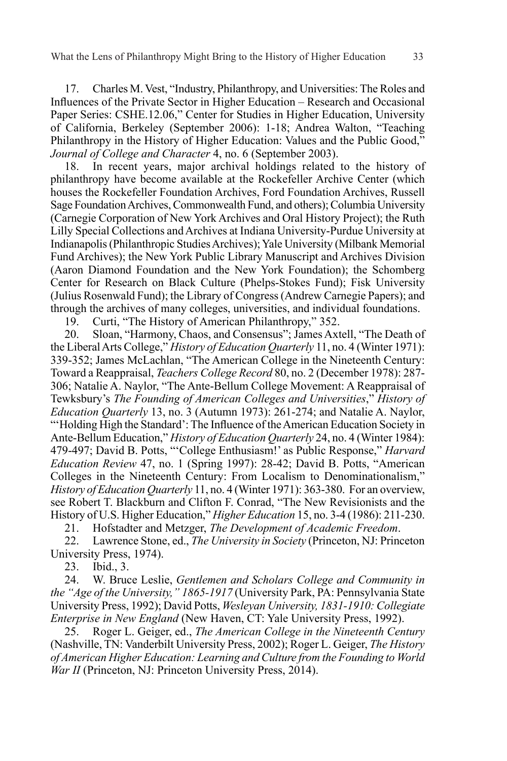17. Charles M. Vest, "Industry, Philanthropy, and Universities: The Roles and Influences of the Private Sector in Higher Education – Research and Occasional Paper Series: CSHE.12.06," Center for Studies in Higher Education, University of California, Berkeley (September 2006): 1-18; Andrea Walton, "Teaching Philanthropy in the History of Higher Education: Values and the Public Good," *Journal of College and Character* 4, no. 6 (September 2003).

18. In recent years, major archival holdings related to the history of philanthropy have become available at the Rockefeller Archive Center (which houses the Rockefeller Foundation Archives, Ford Foundation Archives, Russell Sage Foundation Archives, Commonwealth Fund, and others); Columbia University (Carnegie Corporation of New York Archives and Oral History Project); the Ruth Lilly Special Collections and Archives at Indiana University-Purdue University at Indianapolis (Philanthropic Studies Archives); Yale University (Milbank Memorial Fund Archives); the New York Public Library Manuscript and Archives Division (Aaron Diamond Foundation and the New York Foundation); the Schomberg Center for Research on Black Culture (Phelps-Stokes Fund); Fisk University (Julius Rosenwald Fund); the Library of Congress (Andrew Carnegie Papers); and through the archives of many colleges, universities, and individual foundations.

19. Curti, "The History of American Philanthropy," 352.

20. Sloan, "Harmony, Chaos, and Consensus"; James Axtell, "The Death of the Liberal Arts College," *History of Education Quarterly* 11, no. 4 (Winter 1971): 339-352; James McLachlan, "The American College in the Nineteenth Century: Toward a Reappraisal, *Teachers College Record* 80, no. 2 (December 1978): 287- 306; Natalie A. Naylor, "The Ante-Bellum College Movement: A Reappraisal of Tewksbury's *The Founding of American Colleges and Universities*," *History of Education Quarterly* 13, no. 3 (Autumn 1973): 261-274; and Natalie A. Naylor, "'Holding High the Standard': The Influence of the American Education Society in Ante-Bellum Education," *History of Education Quarterly* 24, no. 4 (Winter 1984): 479-497; David B. Potts, "'College Enthusiasm!' as Public Response," *Harvard Education Review* 47, no. 1 (Spring 1997): 28-42; David B. Potts, "American Colleges in the Nineteenth Century: From Localism to Denominationalism," *History of Education Quarterly* 11, no. 4 (Winter 1971): 363-380. For an overview, see Robert T. Blackburn and Clifton F. Conrad, "The New Revisionists and the History of U.S. Higher Education," *Higher Education* 15, no. 3-4 (1986): 211-230.

21. Hofstadter and Metzger, *The Development of Academic Freedom*.

22. Lawrence Stone, ed., *The University in Society* (Princeton, NJ: Princeton University Press, 1974).

23. Ibid., 3.

24. W. Bruce Leslie, *Gentlemen and Scholars College and Community in the "Age of the University," 1865-1917* (University Park, PA: Pennsylvania State University Press, 1992); David Potts, *Wesleyan University, 1831-1910: Collegiate Enterprise in New England* (New Haven, CT: Yale University Press, 1992).

25. Roger L. Geiger, ed., *The American College in the Nineteenth Century* (Nashville, TN: Vanderbilt University Press, 2002); Roger L. Geiger, *The History of American Higher Education: Learning and Culture from the Founding to World War II* (Princeton, NJ: Princeton University Press, 2014).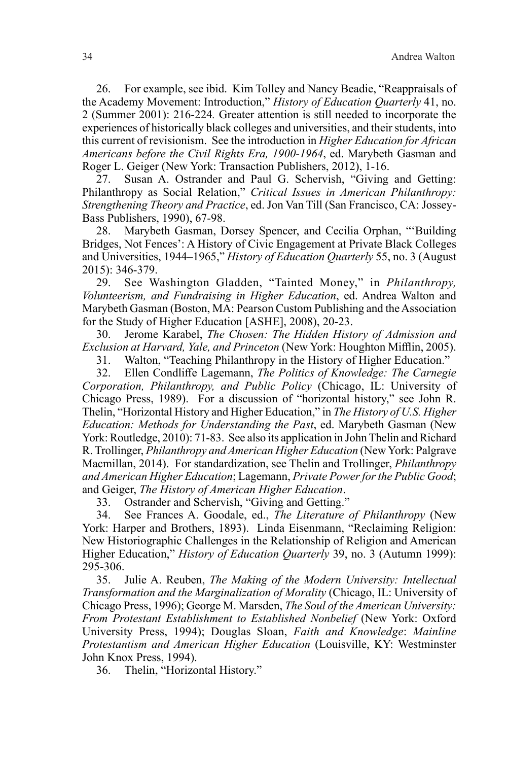26. For example, see ibid. Kim Tolley and Nancy Beadie, "Reappraisals of the Academy Movement: Introduction," *History of Education Quarterly* 41, no. 2 (Summer 2001): 216-224*.* Greater attention is still needed to incorporate the experiences of historically black colleges and universities, and their students, into this current of revisionism. See the introduction in *Higher Education for African Americans before the Civil Rights Era, 1900-1964*, ed. Marybeth Gasman and Roger L. Geiger (New York: Transaction Publishers, 2012), 1-16.

27. Susan A. Ostrander and Paul G. Schervish, "Giving and Getting: Philanthropy as Social Relation," *Critical Issues in American Philanthropy: Strengthening Theory and Practice*, ed. Jon Van Till (San Francisco, CA: Jossey-Bass Publishers, 1990), 67-98.

28. Marybeth Gasman, Dorsey Spencer, and Cecilia Orphan, "'Building Bridges, Not Fences': A History of Civic Engagement at Private Black Colleges and Universities, 1944–1965," *History of Education Quarterly* 55, no. 3 (August 2015): 346-379.

29. See Washington Gladden, "Tainted Money," in *Philanthropy, Volunteerism, and Fundraising in Higher Education*, ed. Andrea Walton and Marybeth Gasman (Boston, MA: Pearson Custom Publishing and the Association for the Study of Higher Education [ASHE], 2008), 20-23.

30. Jerome Karabel, *The Chosen: The Hidden History of Admission and Exclusion at Harvard, Yale, and Princeton* (New York: Houghton Mifflin, 2005).

31. Walton, "Teaching Philanthropy in the History of Higher Education."

32. Ellen Condliffe Lagemann, *The Politics of Knowledge: The Carnegie Corporation, Philanthropy, and Public Policy* (Chicago, IL: University of Chicago Press, 1989). For a discussion of "horizontal history," see John R. Thelin, "Horizontal History and Higher Education," in *The History of U.S. Higher Education: Methods for Understanding the Past*, ed. Marybeth Gasman (New York: Routledge, 2010): 71-83. See also its application in John Thelin and Richard R. Trollinger, *Philanthropy and American Higher Education* (New York: Palgrave Macmillan, 2014). For standardization, see Thelin and Trollinger, *Philanthropy and American Higher Education*; Lagemann, *Private Power for the Public Good*; and Geiger, *The History of American Higher Education*.

33. Ostrander and Schervish, "Giving and Getting."

34. See Frances A. Goodale, ed., *The Literature of Philanthropy* (New York: Harper and Brothers, 1893). Linda Eisenmann, "Reclaiming Religion: New Historiographic Challenges in the Relationship of Religion and American Higher Education," *History of Education Quarterly* 39, no. 3 (Autumn 1999): 295-306.

35. Julie A. Reuben, *The Making of the Modern University: Intellectual Transformation and the Marginalization of Morality* (Chicago, IL: University of Chicago Press, 1996); George M. Marsden, *The Soul of the American University: From Protestant Establishment to Established Nonbelief* (New York: Oxford University Press, 1994); Douglas Sloan, *Faith and Knowledge*: *Mainline Protestantism and American Higher Education* (Louisville, KY: Westminster John Knox Press, 1994).

36. Thelin, "Horizontal History."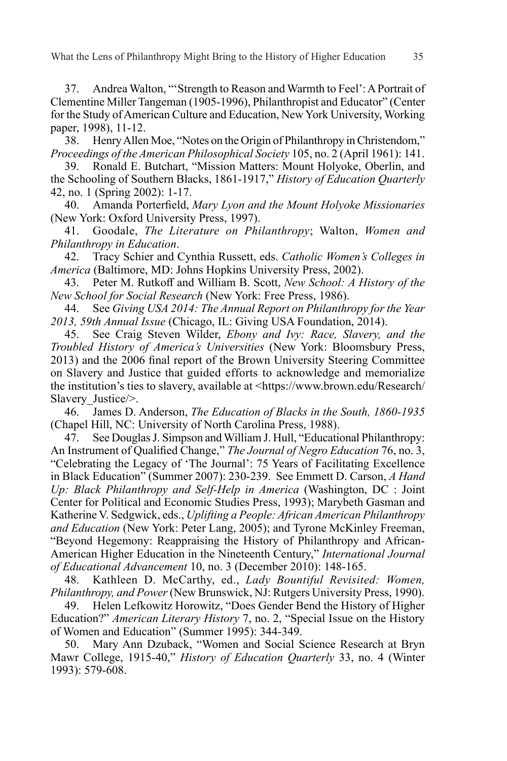37. Andrea Walton, "'Strength to Reason and Warmth to Feel': A Portrait of Clementine Miller Tangeman (1905-1996), Philanthropist and Educator" (Center for the Study of American Culture and Education, New York University, Working paper, 1998), 11-12.

38. Henry Allen Moe, "Notes on the Origin of Philanthropy in Christendom," *Proceedings of the American Philosophical Society* 105, no. 2 (April 1961): 141.

39. Ronald E. Butchart, "Mission Matters: Mount Holyoke, Oberlin, and the Schooling of Southern Blacks, 1861-1917," *History of Education Quarterly* 42, no. 1 (Spring 2002): 1-17.

40. Amanda Porterfield, *Mary Lyon and the Mount Holyoke Missionaries*  (New York: Oxford University Press, 1997).

41. Goodale, *The Literature on Philanthropy*; Walton, *Women and Philanthropy in Education*.

42. Tracy Schier and Cynthia Russett, eds. *Catholic Women's Colleges in America* (Baltimore, MD: Johns Hopkins University Press, 2002).

43. Peter M. Rutkoff and William B. Scott, *New School: A History of the New School for Social Research* (New York: Free Press, 1986).

44. See *Giving USA 2014: The Annual Report on Philanthropy for the Year 2013, 59th Annual Issue* (Chicago, IL: Giving USA Foundation, 2014).

45. See Craig Steven Wilder, *Ebony and Ivy: Race, Slavery, and the Troubled History of America's Universities* (New York: Bloomsbury Press, 2013) and the 2006 final report of the Brown University Steering Committee on Slavery and Justice that guided efforts to acknowledge and memorialize the institution's ties to slavery, available at <https://www.brown.edu/Research/ Slavery Justice/>.

46. James D. Anderson, *The Education of Blacks in the South, 1860-1935* (Chapel Hill, NC: University of North Carolina Press, 1988).

47. See Douglas J. Simpson and William J. Hull, "Educational Philanthropy: An Instrument of Qualified Change," *The Journal of Negro Education* 76, no. 3, "Celebrating the Legacy of 'The Journal': 75 Years of Facilitating Excellence in Black Education" (Summer 2007): 230-239. See Emmett D. Carson, *A Hand Up: Black Philanthropy and Self-Help in America* (Washington, DC : Joint Center for Political and Economic Studies Press, 1993); Marybeth Gasman and Katherine V. Sedgwick, eds., *Uplifting a People: African American Philanthropy and Education* (New York: Peter Lang, 2005); and Tyrone McKinley Freeman, "Beyond Hegemony: Reappraising the History of Philanthropy and African-American Higher Education in the Nineteenth Century," *International Journal of Educational Advancement* 10, no. 3 (December 2010): 148-165.

48. Kathleen D. McCarthy, ed., *Lady Bountiful Revisited: Women, Philanthropy, and Power* (New Brunswick, NJ: Rutgers University Press, 1990).

49. Helen Lefkowitz Horowitz, "Does Gender Bend the History of Higher Education?" *American Literary History* 7, no. 2, "Special Issue on the History of Women and Education" (Summer 1995): 344-349.

50. Mary Ann Dzuback, "Women and Social Science Research at Bryn Mawr College, 1915-40," *History of Education Quarterly* 33, no. 4 (Winter 1993): 579-608.